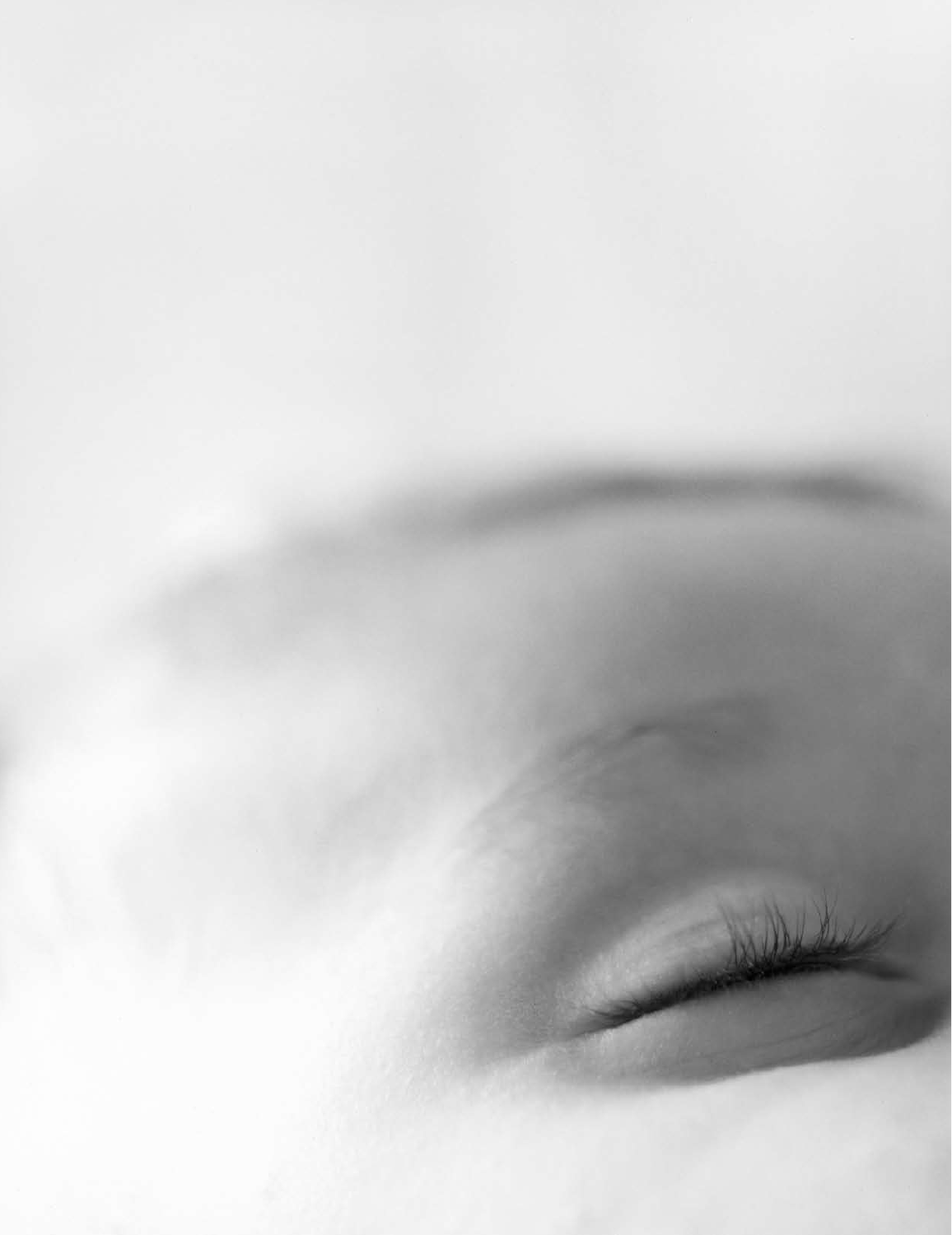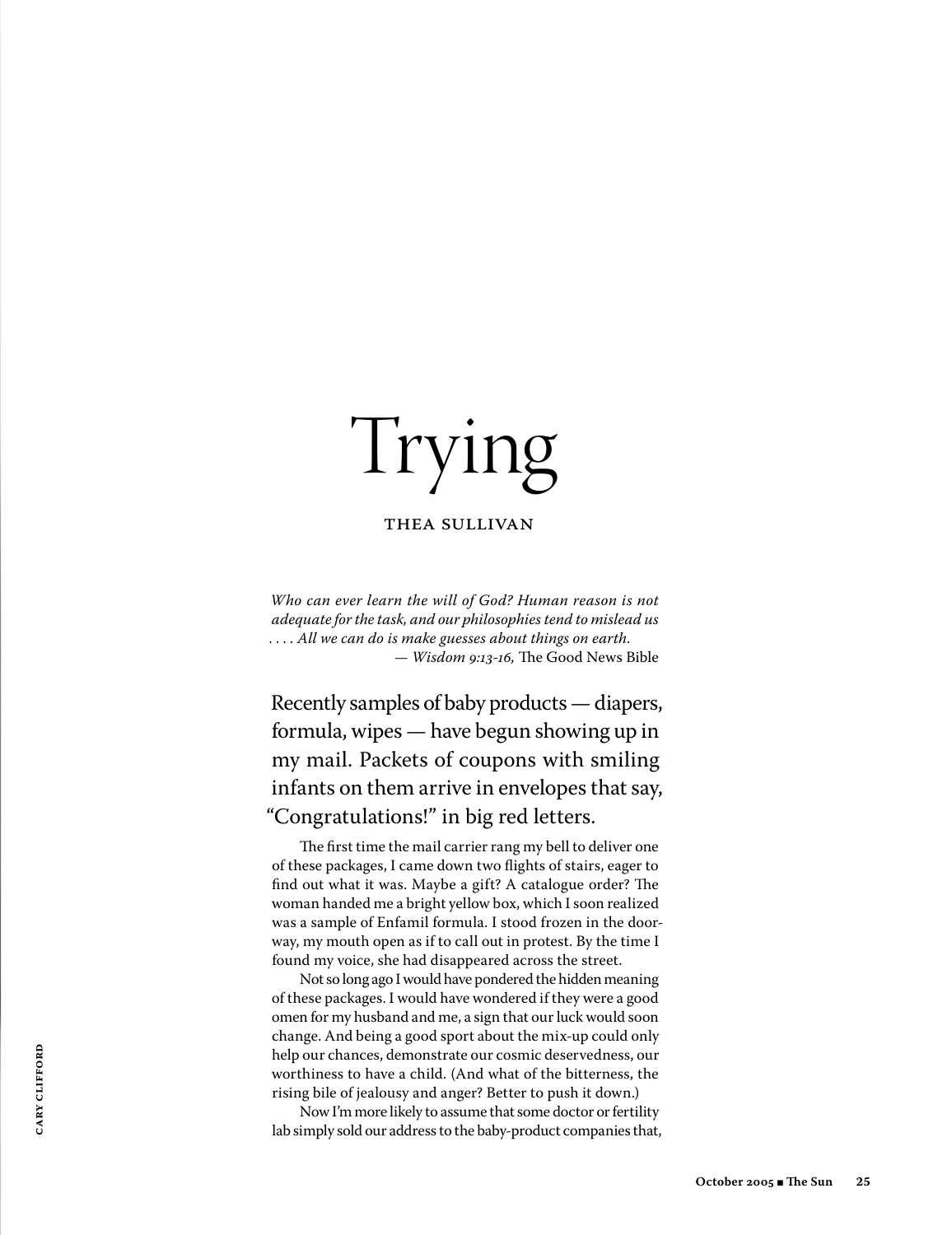## Trying

## Thea Sullivan

*Who can ever learn the will of God? Human reason is not adequate for the task, and our philosophies tend to mislead us . . . . All we can do is make guesses about things on earth. — Wisdom 9:13-16,* The Good News Bible

Recently samples of baby products —diapers, formula, wipes — have begun showing up in my mail. Packets of coupons with smiling infants on them arrive in envelopes that say, "Congratulations!" in big red letters.

The first time the mail carrier rang my bell to deliver one of these packages, I came down two flights of stairs, eager to find out what it was. Maybe a gift? A catalogue order? The woman handed me a bright yellow box, which Isoon realized was a sample of Enfamil formula. I stood frozen in the door way, my mouth open as if to call out in protest. By the time I found my voice, she had disappeared across the street.

 Notso long ago I would have pondered the hidden meaning of these packages. I would have wondered if they were a good omen for my husband and me, a sign that ourluck would soon change. And being a good sport about the mix-up could only help our chances, demonstrate our cosmic deservedness, our worthiness to have a child. (And what of the bitterness, the rising bile of jealousy and anger? Better to push it down.)

Now I'm more likely to assume that some doctor or fertility lab simply sold our address to the baby-product companies that,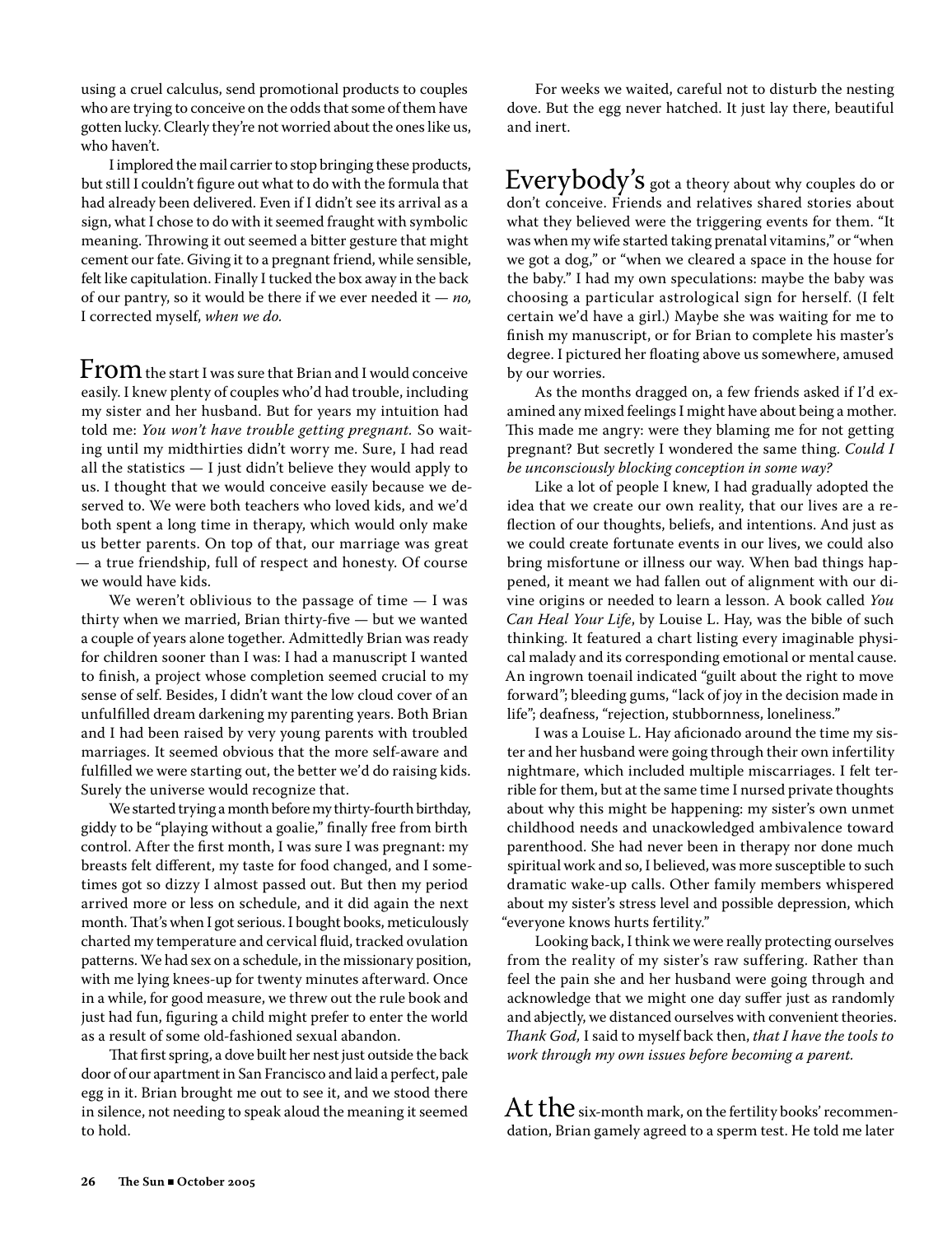using a cruel calculus, send promotional products to couples who are trying to conceive on the odds that some of them have gotten lucky.Clearly they're not worried about the oneslike us, who haven't.

I implored the mail carrier to stop bringing these products, but still I couldn't figure out what to do with the formula that had already been delivered. Even if I didn't see its arrival as a sign, what I chose to do with it seemed fraught with symbolic meaning. Throwing it out seemed a bitter gesture that might cement our fate. Giving it to a pregnant friend, while sensible, felt like capitulation. Finally I tucked the box away in the back of our pantry, so it would be there if we ever needed it — *no,* I corrected myself, *when we do.*

From the start I was sure that Brian and I would conceive easily. I knew plenty of couples who'd had trouble, including my sister and her husband. But for years my intuition had told me: *You won't have trouble getting pregnant.* So waiting until my midthirties didn't worry me. Sure, I had read all the statistics — I just didn't believe they would apply to us. I thought that we would conceive easily because we deserved to. We were both teachers who loved kids, and we'd both spent a long time in therapy, which would only make us better parents. On top of that, our marriage was great — a true friendship, full of respect and honesty. Of course we would have kids.

We weren't oblivious to the passage of time  $-1$  was thirty when we married, Brian thirty-five — but we wanted a couple of years alone together. Admittedly Brian was ready for children sooner than I was: I had a manuscript I wanted to finish, a project whose completion seemed crucial to my sense of self. Besides, I didn't want the low cloud cover of an unfulfilled dream darkening my parenting years. Both Brian and I had been raised by very young parents with troubled marriages. It seemed obvious that the more self-aware and fulfilled we were starting out, the better we'd do raising kids. Surely the universe would recognize that.

We started trying a month before my thirty-fourth birthday, giddy to be "playing without a goalie," finally free from birth control. After the first month, I was sure I was pregnant: my breasts felt different, my taste for food changed, and I sometimes got so dizzy I almost passed out. But then my period arrived more or less on schedule, and it did again the next month. That's when I got serious. I bought books, meticulously charted my temperature and cervical fluid, tracked ovulation patterns.We had sex on a schedule, in the missionary position, with me lying knees-up for twenty minutes afterward. Once in a while, for good measure, we threw out the rule book and just had fun, figuring a child might prefer to enter the world as a result of some old-fashioned sexual abandon.

That first spring, a dove built her nest just outside the back door of our apartmentin San Francisco and laid a perfect, pale egg in it. Brian brought me out to see it, and we stood there in silence, not needing to speak aloud the meaning it seemed to hold.

 For weeks we waited, careful not to disturb the nesting dove. But the egg never hatched. It just lay there, beautiful and inert.

Everybody's got <sup>a</sup> theory about why couples do or don't conceive. Friends and relatives shared stories about what they believed were the triggering events for them. "It was when my wife started taking prenatal vitamins," or "when we got a dog," or "when we cleared a space in the house for the baby." I had my own speculations: maybe the baby was choosing a particular astrological sign for herself. (I felt certain we'd have a girl.) Maybe she was waiting for me to finish my manuscript, or for Brian to complete his master's degree. I pictured her floating above us somewhere, amused by our worries.

 As the months dragged on, a few friends asked if I'd examined any mixed feelings I might have about being a mother. This made me angry: were they blaming me for not getting pregnant? But secretly I wondered the same thing. *Could I be unconsciously blocking conception in some way?*

 Like a lot of people I knew, I had gradually adopted the idea that we create our own reality, that our lives are a reflection of our thoughts, beliefs, and intentions. And just as we could create fortunate events in our lives, we could also bring misfortune or illness our way. When bad things happened, it meant we had fallen out of alignment with our divine origins or needed to learn a lesson. A book called *You Can Heal Your Life*, by Louise L. Hay, was the bible of such thinking. It featured a chart listing every imaginable physical malady and its corresponding emotional or mental cause. An ingrown toenail indicated "guilt about the right to move forward"; bleeding gums, "lack of joy in the decision made in life"; deafness, "rejection, stubbornness, loneliness."

 I was a Louise L. Hay aficionado around the time my sister and her husband were going through their own infertility nightmare, which included multiple miscarriages. I felt terrible for them, but at the same time I nursed private thoughts about why this might be happening: my sister's own unmet childhood needs and unackowledged ambivalence toward parenthood. She had never been in therapy nor done much spiritual work and so, I believed, was more susceptible to such dramatic wake-up calls. Other family members whispered about my sister's stress level and possible depression, which "everyone knows hurts fertility."

 Looking back, I think we were really protecting ourselves from the reality of my sister's raw suffering. Rather than feel the pain she and her husband were going through and acknowledge that we might one day suffer just as randomly and abjectly, we distanced ourselves with convenient theories. *Thank God,* I said to myself back then, *that I have the tools to work through my own issues before becoming a parent.*

 $\mathrm{At}\thinspace$  the six-month mark, on the fertility books' recommendation, Brian gamely agreed to a sperm test. He told me later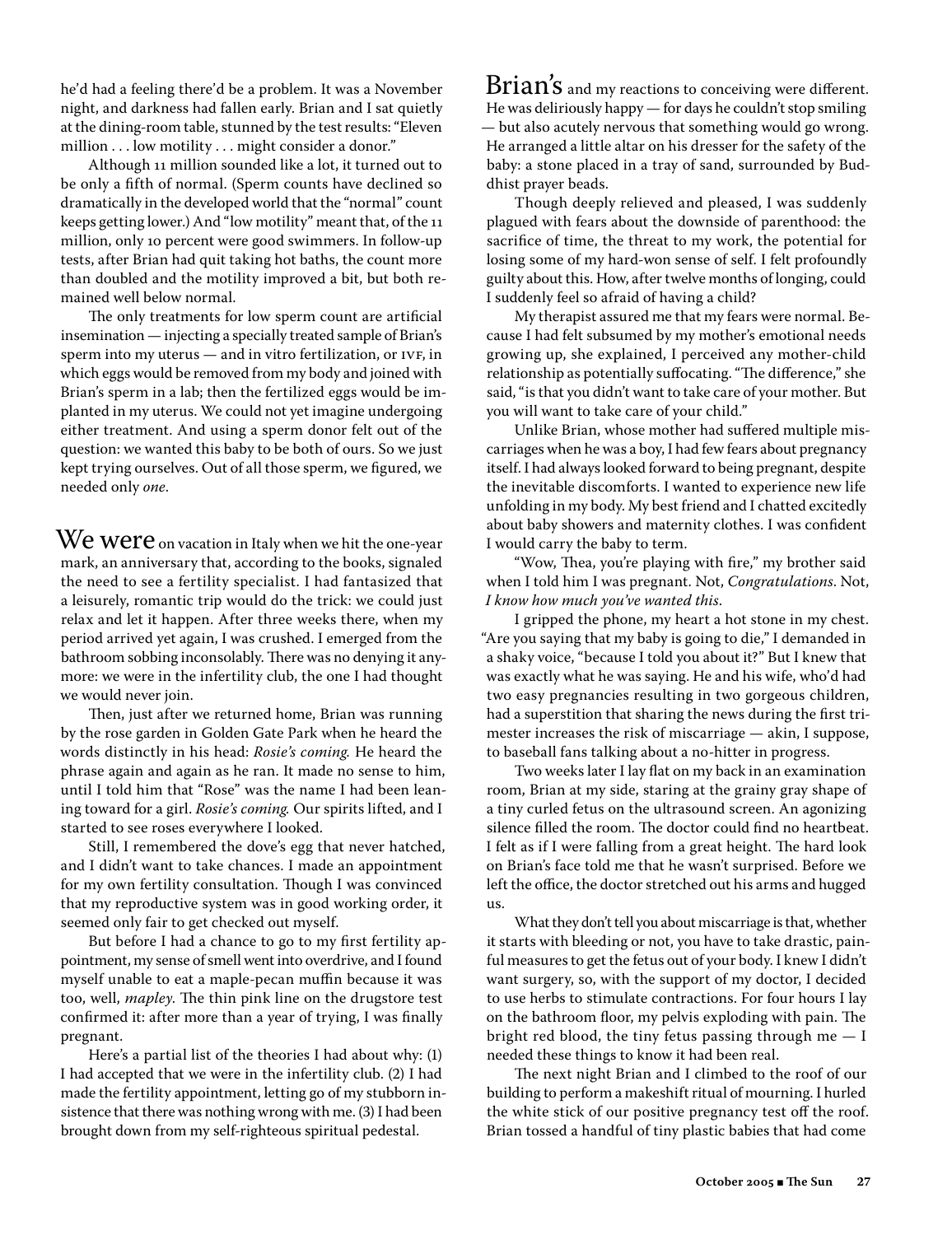he'd had a feeling there'd be a problem. It was a November night, and darkness had fallen early. Brian and I sat quietly at the dining-room table, stunned by the test results: "Eleven million . . . low motility . . . might consider a donor."

 Although 11 million sounded like a lot, it turned out to be only a fifth of normal. (Sperm counts have declined so dramatically in the developed world that the "normal" count keeps getting lower.) And "low motility" meant that, of the 11 million, only 10 percent were good swimmers. In follow-up tests, after Brian had quit taking hot baths, the count more than doubled and the motility improved a bit, but both remained well below normal.

 The only treatments for low sperm count are artificial insemination — injecting a specially treated sample of Brian's sperm into my uterus — and in vitro fertilization, or IVF, in which eggs would be removed from my body and joined with Brian's sperm in a lab; then the fertilized eggs would be implanted in my uterus. We could not yet imagine undergoing either treatment. And using a sperm donor felt out of the question: we wanted this baby to be both of ours. So we just kept trying ourselves. Out of all those sperm, we figured, we needed only *one*.

 $\rm{We \: were}$  on vacation in Italy when we hit the one-year mark, an anniversary that, according to the books, signaled the need to see a fertility specialist. I had fantasized that a leisurely, romantic trip would do the trick: we could just relax and let it happen. After three weeks there, when my period arrived yet again, I was crushed. I emerged from the bathroom sobbing inconsolably.There was no denying it anymore: we were in the infertility club, the one I had thought we would never join.

 Then, just after we returned home, Brian was running by the rose garden in Golden Gate Park when he heard the words distinctly in his head: *Rosie's coming.* He heard the phrase again and again as he ran. It made no sense to him, until I told him that "Rose" was the name I had been leaning toward for a girl. *Rosie's coming.* Our spirits lifted, and I started to see roses everywhere I looked.

 Still, I remembered the dove's egg that never hatched, and I didn't want to take chances. I made an appointment for my own fertility consultation. Though I was convinced that my reproductive system was in good working order, it seemed only fair to get checked out myself.

 But before I had a chance to go to my first fertility appointment, my sense of smell went into overdrive, and I found myself unable to eat a maple-pecan muffin because it was too, well, *mapley*. The thin pink line on the drugstore test confirmed it: after more than a year of trying, I was finally pregnant.

 Here's a partial list of the theories I had about why: (1) I had accepted that we were in the infertility club. (2) I had made the fertility appointment, letting go of my stubborn insistence that there was nothing wrong with me. (3) I had been brought down from my self-righteous spiritual pedestal.

Brian's and my reactions to conceiving were different. He was deliriously happy  $-$  for days he couldn't stop smiling — but also acutely nervous that something would go wrong. He arranged a little altar on his dresser for the safety of the baby: a stone placed in a tray of sand, surrounded by Buddhist prayer beads.

 Though deeply relieved and pleased, I was suddenly plagued with fears about the downside of parenthood: the sacrifice of time, the threat to my work, the potential for losing some of my hard-won sense of self. I felt profoundly guilty about this. How, aftertwelve months of longing, could I suddenly feel so afraid of having a child?

 My therapist assured me that my fears were normal. Because I had felt subsumed by my mother's emotional needs growing up, she explained, I perceived any mother-child relationship as potentially suffocating. "The difference," she said, "is that you didn't want to take care of your mother. But you will want to take care of your child."

 Unlike Brian, whose mother had suffered multiple miscarriages when he was a boy, I had few fears about pregnancy itself. I had alwayslooked forward to being pregnant, despite the inevitable discomforts. I wanted to experience new life unfolding in my body. My best friend and I chatted excitedly about baby showers and maternity clothes. I was confident I would carry the baby to term.

 "Wow, Thea, you're playing with fire," my brother said when I told him I was pregnant. Not, *Congratulations*. Not, *I know how much you've wanted this*.

 I gripped the phone, my heart a hot stone in my chest. "Are you saying that my baby is going to die," I demanded in a shaky voice, "because I told you about it?" But I knew that was exactly what he was saying. He and his wife, who'd had two easy pregnancies resulting in two gorgeous children, had a superstition that sharing the news during the first trimester increases the risk of miscarriage — akin, I suppose, to baseball fans talking about a no-hitter in progress.

 Two weeks later I lay flat on my back in an examination room, Brian at my side, staring at the grainy gray shape of a tiny curled fetus on the ultrasound screen. An agonizing silence filled the room. The doctor could find no heartbeat. I felt as if I were falling from a great height. The hard look on Brian's face told me that he wasn't surprised. Before we left the office, the doctor stretched out his arms and hugged us.

What they don't tell you about miscarriage is that, whether it starts with bleeding or not, you have to take drastic, painful measures to get the fetus out of your body. I knew I didn't want surgery, so, with the support of my doctor, I decided to use herbs to stimulate contractions. For four hours I lay on the bathroom floor, my pelvis exploding with pain. The bright red blood, the tiny fetus passing through me — I needed these things to know it had been real.

 The next night Brian and I climbed to the roof of our building to perform a makeshift ritual of mourning. I hurled the white stick of our positive pregnancy test off the roof. Brian tossed a handful of tiny plastic babies that had come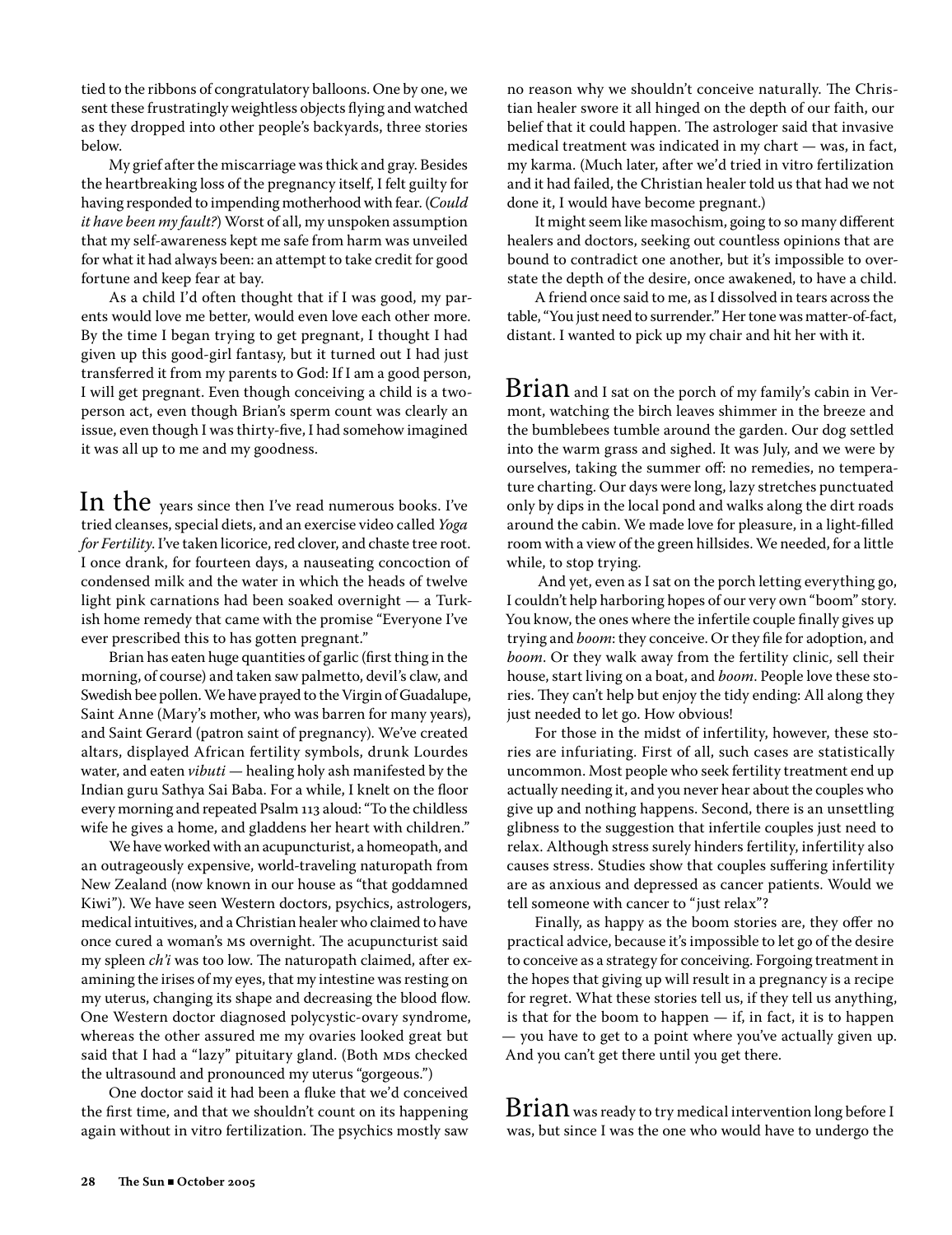tied to the ribbons of congratulatory balloons. One by one, we sent these frustratingly weightless objects flying and watched as they dropped into other people's backyards, three stories below.

My grief after the miscarriage was thick and gray. Besides the heartbreaking loss of the pregnancy itself, I felt guilty for having responded to impending motherhood with fear.(*Could it have been my fault?*) Worst of all, my unspoken assumption that my self-awareness kept me safe from harm was unveiled for what it had always been: an attempt to take credit for good fortune and keep fear at bay.

 As a child I'd often thought that if I was good, my parents would love me better, would even love each other more. By the time I began trying to get pregnant, I thought I had given up this good-girl fantasy, but it turned out I had just transferred it from my parents to God: If I am a good person, I will get pregnant. Even though conceiving a child is a twoperson act, even though Brian's sperm count was clearly an issue, even though I wasthirty-five, I had somehow imagined it was all up to me and my goodness.

In the years since then I've read numerous books. I've tried cleanses, special diets, and an exercise video called *Yoga for Fertility*. I've taken licorice, red clover, and chaste tree root. I once drank, for fourteen days, a nauseating concoction of condensed milk and the water in which the heads of twelve light pink carnations had been soaked overnight — a Turkish home remedy that came with the promise "Everyone I've ever prescribed this to has gotten pregnant."

 Brian has eaten huge quantities of garlic (first thing in the morning, of course) and taken saw palmetto, devil's claw, and Swedish bee pollen. We have prayed to the Virgin of Guadalupe, Saint Anne (Mary's mother, who was barren for many years), and Saint Gerard (patron saint of pregnancy). We've created altars, displayed African fertility symbols, drunk Lourdes water, and eaten *vibuti* — healing holy ash manifested by the Indian guru Sathya Sai Baba. For a while, I knelt on the floor every morning and repeated Psalm 113 aloud:"To the childless wife he gives a home, and gladdens her heart with children."

 We have worked with an acupuncturist, a homeopath, and an outrageously expensive, world-traveling naturopath from New Zealand (now known in our house as "that goddamned Kiwi"). We have seen Western doctors, psychics, astrologers, medical intuitives, and aChristian healer who claimed to have once cured a woman's MS overnight. The acupuncturist said my spleen *ch'i* was too low. The naturopath claimed, after examining the irises of my eyes, that my intestine was resting on my uterus, changing its shape and decreasing the blood flow. One Western doctor diagnosed polycystic-ovary syndrome, whereas the other assured me my ovaries looked great but said that I had a "lazy" pituitary gland. (Both MDs checked the ultrasound and pronounced my uterus "gorgeous.")

 One doctor said it had been a fluke that we'd conceived the first time, and that we shouldn't count on its happening again without in vitro fertilization. The psychics mostly saw no reason why we shouldn't conceive naturally. The Christian healer swore it all hinged on the depth of our faith, our belief that it could happen. The astrologer said that invasive medical treatment was indicated in my chart — was, in fact, my karma. (Much later, after we'd tried in vitro fertilization and it had failed, the Christian healer told us that had we not done it, I would have become pregnant.)

It might seem like masochism, going to so many different healers and doctors, seeking out countless opinions that are bound to contradict one another, but it's impossible to overstate the depth of the desire, once awakened, to have a child.

A friend once said to me, as I dissolved in tears across the table, "You just need to surrender." Her tone was matter-of-fact, distant. I wanted to pick up my chair and hit her with it.

 $B$ rian and I sat on the porch of my family's cabin in Vermont, watching the birch leaves shimmer in the breeze and the bumblebees tumble around the garden. Our dog settled into the warm grass and sighed. It was July, and we were by ourselves, taking the summer off: no remedies, no temperature charting. Our days were long, lazy stretches punctuated only by dips in the local pond and walks along the dirt roads around the cabin. We made love for pleasure, in a light-filled room with a view of the green hillsides. We needed, for a little while, to stop trying.

And yet, even as I sat on the porch letting everything go, I couldn't help harboring hopes of our very own "boom"story. You know, the ones where the infertile couple finally gives up trying and *boom*: they conceive. Orthey file for adoption, and *boom*. Or they walk away from the fertility clinic, sell their house, start living on a boat, and *boom*. People love these stories. They can't help but enjoy the tidy ending: All along they just needed to let go. How obvious!

 For those in the midst of infertility, however, these stories are infuriating. First of all, such cases are statistically uncommon. Most people who seek fertility treatment end up actually needing it, and you never hear about the couples who give up and nothing happens. Second, there is an unsettling glibness to the suggestion that infertile couples just need to relax. Although stress surely hinders fertility, infertility also causes stress. Studies show that couples suffering infertility are as anxious and depressed as cancer patients. Would we tell someone with cancer to "just relax"?

 Finally, as happy as the boom stories are, they offer no practical advice, because it'simpossible to let go of the desire to conceive as a strategy for conceiving. Forgoing treatment in the hopes that giving up will result in a pregnancy is a recipe for regret. What these stories tell us, if they tell us anything, is that for the boom to happen  $-$  if, in fact, it is to happen — you have to get to a point where you've actually given up. And you can't get there until you get there.

 $B$ rian was ready to try medical intervention long before I was, but since I was the one who would have to undergo the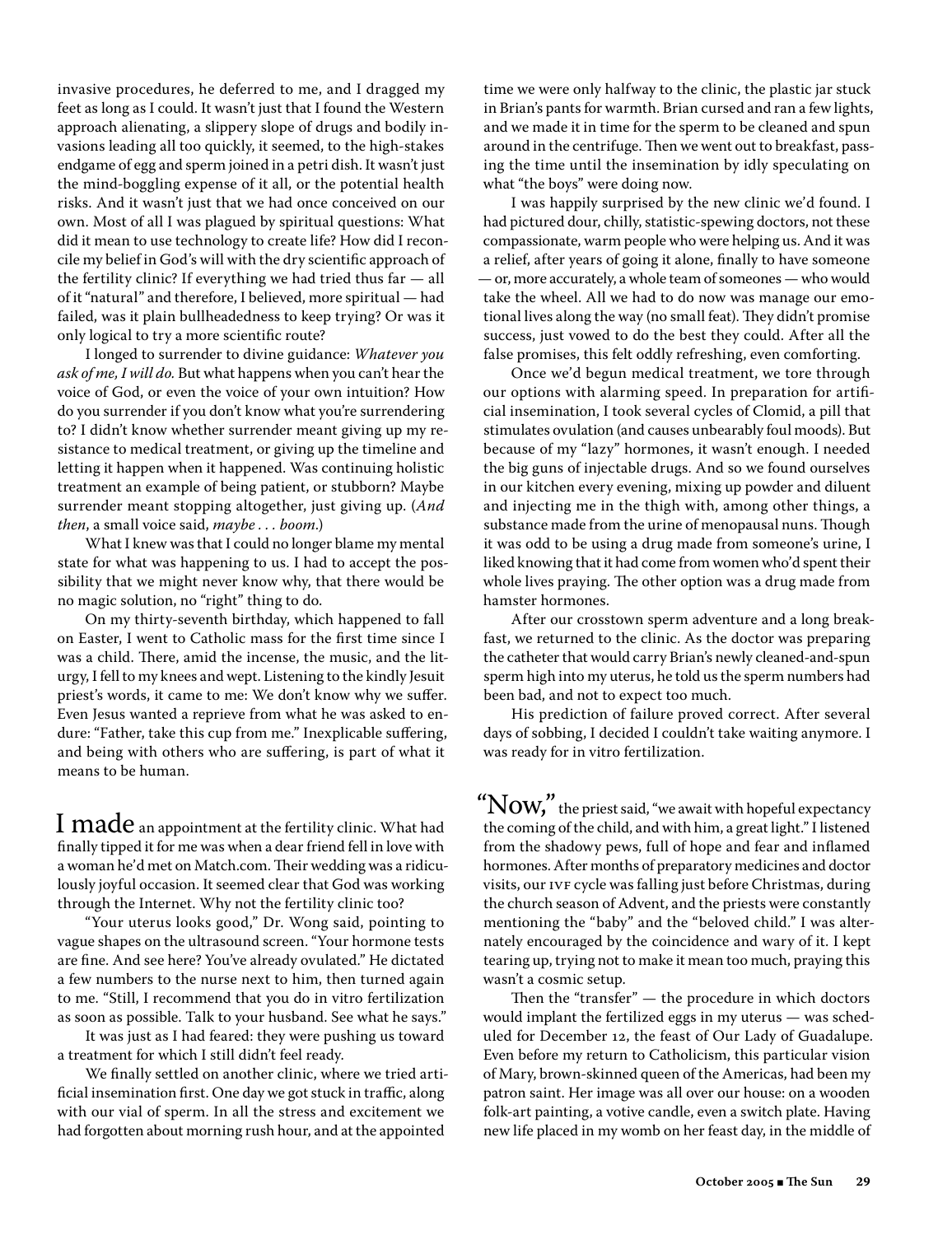invasive procedures, he deferred to me, and I dragged my feet as long as I could. It wasn't just that I found the Western approach alienating, a slippery slope of drugs and bodily invasions leading all too quickly, it seemed, to the high-stakes endgame of egg and sperm joined in a petri dish. It wasn't just the mind-boggling expense of it all, or the potential health risks. And it wasn't just that we had once conceived on our own. Most of all I was plagued by spiritual questions: What did it mean to use technology to create life? How did I reconcile my belief in God's will with the dry scientific approach of the fertility clinic? If everything we had tried thus far — all of it "natural" and therefore, I believed, more spiritual — had failed, was it plain bullheadedness to keep trying? Or was it only logical to try a more scientific route?

 I longed to surrender to divine guidance: *Whatever you ask of me, I will do.* But what happens when you can't hearthe voice of God, or even the voice of your own intuition? How do you surrender if you don't know what you're surrendering to? I didn't know whether surrender meant giving up my resistance to medical treatment, or giving up the timeline and letting it happen when it happened. Was continuing holistic treatment an example of being patient, or stubborn? Maybe surrender meant stopping altogether, just giving up. (*And then*, a small voice said, *maybe . . . boom*.)

What I knew was that I could no longer blame my mental state for what was happening to us. I had to accept the possibility that we might never know why, that there would be no magic solution, no "right" thing to do.

 On my thirty-seventh birthday, which happened to fall on Easter, I went to Catholic mass for the first time since I was a child. There, amid the incense, the music, and the liturgy, I fell to my knees and wept. Listening to the kindly Jesuit priest's words, it came to me: We don't know why we suffer. Even Jesus wanted a reprieve from what he was asked to endure: "Father, take this cup from me." Inexplicable suffering, and being with others who are suffering, is part of what it means to be human.

I made an appointment at the fertility clinic. What had finally tipped it for me was when a dear friend fell in love with a woman he'd met on Match.com.Their wedding was a ridiculously joyful occasion. It seemed clear that God was working through the Internet. Why not the fertility clinic too?

 "Your uterus looks good," Dr. Wong said, pointing to vague shapes on the ultrasound screen. "Your hormone tests are fine. And see here? You've already ovulated." He dictated a few numbers to the nurse next to him, then turned again to me. "Still, I recommend that you do in vitro fertilization as soon as possible. Talk to your husband. See what he says."

 It was just as I had feared: they were pushing us toward a treatment for which I still didn't feel ready.

 We finally settled on another clinic, where we tried artificial insemination first. One day we got stuck in traffic, along with our vial of sperm. In all the stress and excitement we had forgotten about morning rush hour, and at the appointed

time we were only halfway to the clinic, the plastic jar stuck in Brian's pants for warmth. Brian cursed and ran a few lights, and we made it in time for the sperm to be cleaned and spun around in the centrifuge. Then we went out to breakfast, passing the time until the insemination by idly speculating on what "the boys" were doing now.

 I was happily surprised by the new clinic we'd found. I had pictured dour, chilly, statistic-spewing doctors, not these compassionate, warm people who were helping us. And it was a relief, after years of going it alone, finally to have someone  $-$  or, more accurately, a whole team of someones  $-$  who would take the wheel. All we had to do now was manage our emotional lives along the way (no small feat). They didn't promise success, just vowed to do the best they could. After all the false promises, this felt oddly refreshing, even comforting.

 Once we'd begun medical treatment, we tore through our options with alarming speed. In preparation for artificial insemination, I took several cycles of Clomid, a pill that stimulates ovulation (and causes unbearably foul moods). But because of my "lazy" hormones, it wasn't enough. I needed the big guns of injectable drugs. And so we found ourselves in our kitchen every evening, mixing up powder and diluent and injecting me in the thigh with, among other things, a substance made from the urine of menopausal nuns.Though it was odd to be using a drug made from someone's urine, I liked knowing that it had come from women who'd spent their whole lives praying. The other option was a drug made from hamster hormones.

 After our crosstown sperm adventure and a long breakfast, we returned to the clinic. As the doctor was preparing the catheter that would carry Brian's newly cleaned-and-spun sperm high into my uterus, he told us the sperm numbers had been bad, and not to expect too much.

 His prediction of failure proved correct. After several days of sobbing, I decided I couldn't take waiting anymore. I was ready for in vitro fertilization.

 $\lq\lq \text{Now,}$  " the priest said, "we await with hopeful expectancy the coming of the child, and with him, a great light."I listened from the shadowy pews, full of hope and fear and inflamed hormones. After months of preparatory medicines and doctor visits, our IVF cycle was falling just before Christmas, during the church season of Advent, and the priests were constantly mentioning the "baby" and the "beloved child." I was alternately encouraged by the coincidence and wary of it. I kept tearing up, trying not to make it mean too much, praying this wasn't a cosmic setup.

 Then the "transfer" — the procedure in which doctors would implant the fertilized eggs in my uterus — was scheduled for December 12, the feast of Our Lady of Guadalupe. Even before my return to Catholicism, this particular vision of Mary, brown-skinned queen of the Americas, had been my patron saint. Her image was all over our house: on a wooden folk-art painting, a votive candle, even a switch plate. Having new life placed in my womb on her feast day, in the middle of